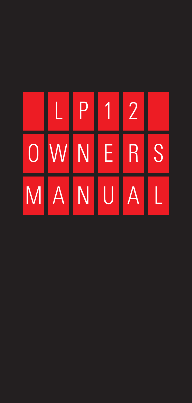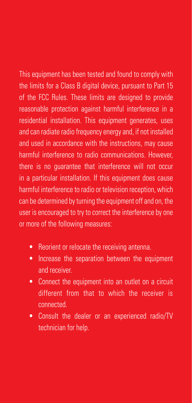This equipment has been tested and found to comply with the limits for a Class B digital device, pursuant to Part 15 of the FCC Rules. These limits are designed to provide reasonable protection against harmful interference in a residential installation. This equipment generates, uses and can radiate radio frequency energy and, if not installed and used in accordance with the instructions, may cause harmful interference to radio communications. However, there is no guarantee that interference will not occur in a particular installation. If this equipment does cause harmful interference to radio or television reception, which can be determined by turning the equipment off and on, the user is encouraged to try to correct the interference by one or more of the following measures:

- Reorient or relocate the receiving antenna.
- Increase the separation between the equipment and receiver.
- Connect the equipment into an outlet on a circuit different from that to which the receiver is connected.
- Consult the dealer or an experienced radio/TV technician for help.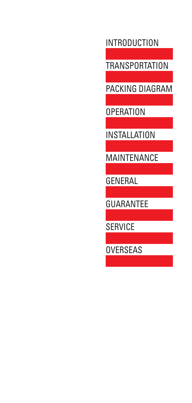INTRODUCTION

TRANSPORTATION

PACKING DIAGRAM

OPERATION

INSTALLATION

MAINTENANCE

GENERAL

GUARANTEE

SERVICE

OVERSEAS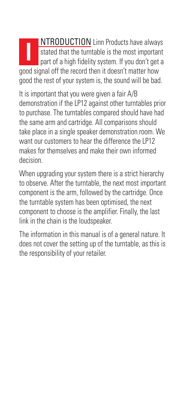NTRODUCTION Linn Products have always stated that the turntable is the most important part of a high fidelity system. If you don't get a good signal off the record then it doesn't matter how good the rest of your system is, the sound will be bad. **I**

It is important that you were given a fair A/B demonstration if the LP12 against other turntables prior to purchase. The turntables compared should have had the same arm and cartridge. All comparisons should take place in a single speaker demonstration room. We want our customers to hear the difference the LP12 makes for themselves and make their own informed decision.

When upgrading your system there is a strict hierarchy to observe. After the turntable, the next most important component is the arm, followed by the cartridge. Once the turntable system has been optimised, the next component to choose is the amplifier. Finally, the last link in the chain is the loudspeaker.

The information in this manual is of a general nature. It does not cover the setting up of the turntable, as this is the responsibility of your retailer.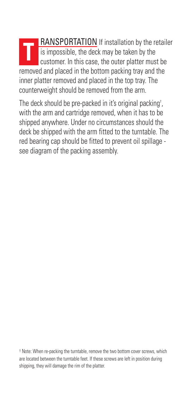**RANSPORTATION** If installation by the retailer **The is impossible, the deck may be taken by the customer.** In this case, the outer platter must customer. In this case, the outer platter must be removed and placed in the bottom packing tray and the inner platter removed and placed in the top tray. The counterweight should be removed from the arm.

The deck should be pre-packed in it's original packing† , with the arm and cartridge removed, when it has to be shipped anywhere. Under no circumstances should the deck be shipped with the arm fitted to the turntable. The red bearing cap should be fitted to prevent oil spillage see diagram of the packing assembly.

† Note: When re-packing the turntable, remove the two bottom cover screws, which are located between the turntable feet. If these screws are left in position during shipping, they will damage the rim of the platter.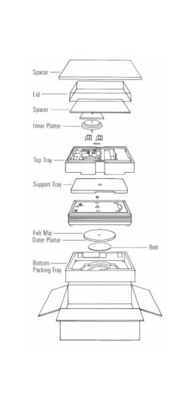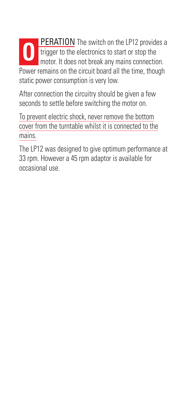**PERATION** The switch on the LP12 provides a **O** *TEHRITORY* THE SWHEIM CHE THE PROMET OF THE PROMET OF THE PROMET OF THE PROMET OF THE PROMET OF THE PROMET OF THE PROMET OF THE PROMET OF THE PROMET OF THE PROMET OF THE PROMET OF THE PROMET OF THE PROMET OF THE PRO motor. It does not break any mains connection. Power remains on the circuit board all the time, though static power consumption is very low.

After connection the circuitry should be given a few seconds to settle before switching the motor on.

To prevent electric shock, never remove the bottom cover from the turntable whilst it is connected to the mains.

The LP12 was designed to give optimum performance at 33 rpm. However a 45 rpm adaptor is available for occasional use.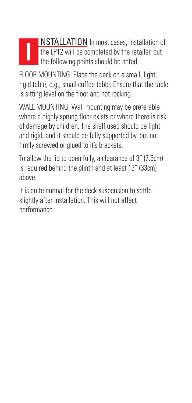## NSTALLATION In most cases, installation of the LP12 will be completed by the retailer, but the following points should be noted:- **I**

FLOOR MOUNTING. Place the deck on a small, light, rigid table, e.g., small coffee table. Ensure that the table is sitting level on the floor and not rocking.

WALL MOUNTING. Wall mounting may be preferable where a highly sprung floor exists or where there is risk of damage by children. The shelf used should be light and rigid, and it should be fully supported by, but not firmly screwed or glued to it's brackets.

To allow the lid to open fully, a clearance of 3" (7.5cm) is required behind the plinth and at least 13" (33cm) above.

It is quite normal for the deck suspension to settle slightly after installation. This will not affect performance.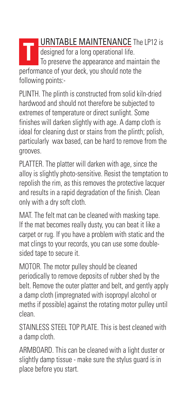**URNTABLE MAINTENANCE** The LP12 is designed for a long operational life. To preserve the appearance and maintain the performance of your deck, you should note the following points:- **T**

PLINTH. The plinth is constructed from solid kiln-dried hardwood and should not therefore be subjected to extremes of temperature or direct sunlight. Some finishes will darken slightly with age. A damp cloth is ideal for cleaning dust or stains from the plinth; polish, particularly wax based, can be hard to remove from the grooves.

PLATTER. The platter will darken with age, since the alloy is slightly photo-sensitive. Resist the temptation to repolish the rim, as this removes the protective lacquer and results in a rapid degradation of the finish. Clean only with a dry soft cloth.

MAT. The felt mat can be cleaned with masking tape. If the mat becomes really dusty, you can beat it like a carpet or rug. If you have a problem with static and the mat clings to your records, you can use some doublesided tape to secure it.

MOTOR. The motor pulley should be cleaned periodically to remove deposits of rubber shed by the belt. Remove the outer platter and belt, and gently apply a damp cloth (impregnated with isopropyl alcohol or meths if possible) against the rotating motor pulley until clean.

STAINLESS STEEL TOP PLATE. This is best cleaned with a damp cloth.

ARMBOARD. This can be cleaned with a light duster or slightly damp tissue - make sure the stylus guard is in place before you start.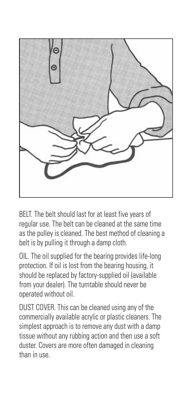

BELT. The belt should last for at least five years of regular use. The belt can be cleaned at the same time as the pulley is cleaned. The best method of cleaning a belt is by pulling it through a damp cloth.

OIL. The oil supplied for the bearing provides life-long protection. If oil is lost from the bearing housing, it should be replaced by factory-supplied oil (available from your dealer). The turntable should never be operated without oil.

DUST COVER. This can be cleaned using any of the commercially available acrylic or plastic cleaners. The simplest approach is to remove any dust with a damp tissue without any rubbing action and then use a soft duster. Covers are more often damaged in cleaning than in use.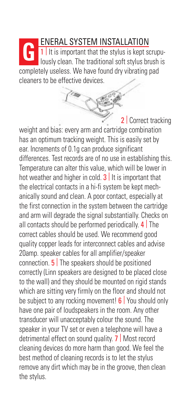ENERAL SYSTEM INSTALLATION  $\vert$  1 | It is important that the stylus is kept scrupulously clean. The traditional soft stylus brush is completely useless. We have found dry vibrating pad cleaners to be effective devices. **G**

2 | Correct tracking weight and bias: every arm and cartridge combination has an optimum tracking weight. This is easily set by ear. Increments of 0.1g can produce significant differences. Test records are of no use in establishing this. Temperature can alter this value, which will be lower in hot weather and higher in cold.  $3$  It is important that the electrical contacts in a hi-fi system be kept mechanically sound and clean. A poor contact, especially at the first connection in the system between the cartridge and arm will degrade the signal substantially. Checks on all contacts should be performed periodically.  $4$  The correct cables should be used. We recommend good quality copper leads for interconnect cables and advise 20amp. speaker cables for all amplifier/speaker connection. 5 | The speakers should be positioned correctly (Linn speakers are designed to be placed close to the wall) and they should be mounted on rigid stands which are sitting very firmly on the floor and should not be subject to any rocking movement! **6** You should only have one pair of loudspeakers in the room. Any other transducer will unacceptably colour the sound. The speaker in your TV set or even a telephone will have a detrimental effect on sound quality. 7 | Most record cleaning devices do more harm than good. We feel the best method of cleaning records is to let the stylus remove any dirt which may be in the groove, then clean the stylus.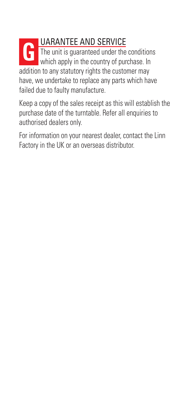## UARANTEE AND SERVICE The unit is guaranteed under the conditions The unit is guaranteed under the condition<br>which apply in the country of purchase. In addition to any statutory rights the customer may have, we undertake to replace any parts which have failed due to faulty manufacture.

Keep a copy of the sales receipt as this will establish the purchase date of the turntable. Refer all enquiries to authorised dealers only.

For information on your nearest dealer, contact the Linn Factory in the UK or an overseas distributor.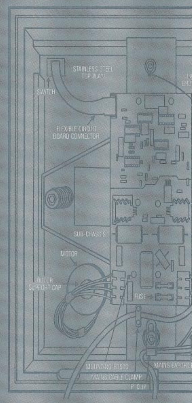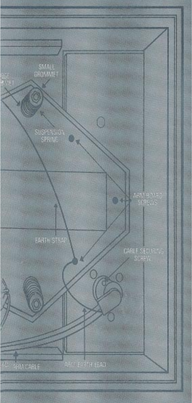